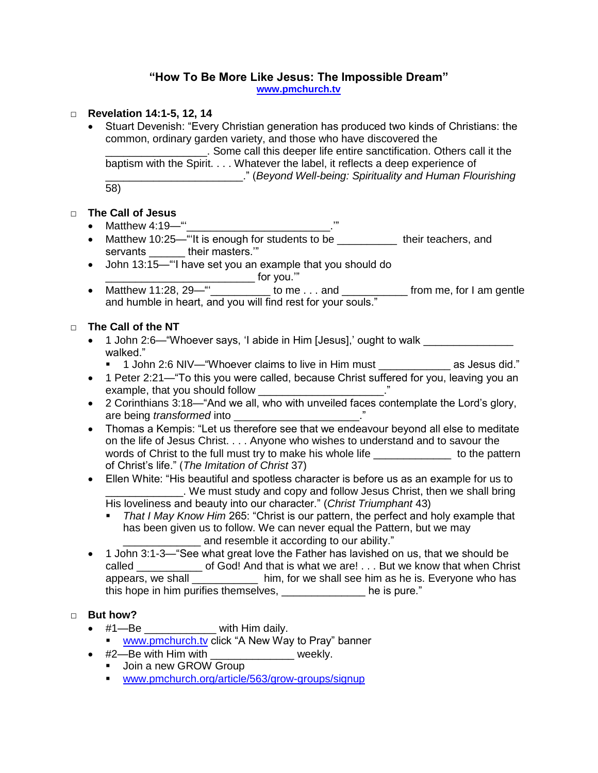# **"How To Be More Like Jesus: The Impossible Dream"**

**[www.pmchurch.tv](http://www.pmchurch.tv/)** 

### □ **Revelation 14:1-5, 12, 14**

 Stuart Devenish: "Every Christian generation has produced two kinds of Christians: the common, ordinary garden variety, and those who have discovered the **EXECUTE:** Some call this deeper life entire sanctification. Others call it the baptism with the Spirit. . . . Whatever the label, it reflects a deep experience of \_\_\_\_\_\_\_\_\_\_\_\_\_\_\_\_\_\_\_\_\_\_\_." (*Beyond Well-being: Spirituality and Human Flourishing*  58)

## □ **The Call of Jesus**

- Matthew 4:19—"'\_\_\_\_\_\_\_\_\_\_\_\_\_\_\_\_\_\_\_\_\_\_\_\_\_\_\_.'"
- Matthew 10:25—"It is enough for students to be \_\_\_\_\_\_\_\_\_\_\_ their teachers, and servants \_\_\_\_\_\_ their masters.'"
- John 13:15—"'I have set you an example that you should do \_\_\_\_\_\_\_\_\_\_\_\_\_\_\_\_\_\_\_\_\_\_\_\_\_ for you.'"
- Matthew 11:28, 29—" $\frac{1}{2}$  to me . . . and  $\frac{1}{2}$  from me, for I am gentle and humble in heart, and you will find rest for your souls."

## □ **The Call of the NT**

- 1 John 2:6—"Whoever says, 'I abide in Him [Jesus],' ought to walk \_\_\_\_\_\_\_\_\_\_\_\_ walked."
	- 1 John 2:6 NIV—"Whoever claims to live in Him must \_\_\_\_\_\_\_\_\_\_\_\_ as Jesus did."
- 1 Peter 2:21—"To this you were called, because Christ suffered for you, leaving you an example, that you should follow \_\_\_\_\_\_\_\_\_\_\_\_\_\_\_\_\_\_\_\_\_\_."
- 2 Corinthians 3:18—"And we all, who with unveiled faces contemplate the Lord's glory, are being *transformed* into \_\_\_\_\_\_\_\_\_\_\_\_\_\_\_\_\_\_\_\_\_\_."
- Thomas a Kempis: "Let us therefore see that we endeavour beyond all else to meditate on the life of Jesus Christ. . . . Anyone who wishes to understand and to savour the words of Christ to the full must try to make his whole life \_\_\_\_\_\_\_\_\_\_\_\_\_\_\_ to the pattern of Christ's life." (*The Imitation of Christ* 37)
- Ellen White: "His beautiful and spotless character is before us as an example for us to \_\_\_\_\_\_\_\_\_\_\_\_\_. We must study and copy and follow Jesus Christ, then we shall bring His loveliness and beauty into our character." (*Christ Triumphant* 43)
	- *That I May Know Him* 265: "Christ is our pattern, the perfect and holy example that has been given us to follow. We can never equal the Pattern, but we may \_\_\_\_\_\_\_\_\_\_\_\_\_ and resemble it according to our ability."
- 1 John 3:1-3— "See what great love the Father has lavished on us, that we should be called \_\_\_\_\_\_\_\_\_\_\_\_ of God! And that is what we are! . . . But we know that when Christ appears, we shall \_\_\_\_\_\_\_\_\_\_\_\_ him, for we shall see him as he is. Everyone who has this hope in him purifies themselves, \_\_\_\_\_\_\_\_\_\_\_\_\_\_ he is pure."

## □ **But how?**

- **but not:**<br>• #1—Be \_\_\_\_\_\_\_\_\_\_\_\_\_ with Him daily.
	- [www.pmchurch.tv](http://www.pmchurch.tv/) click "A New Way to Pray" banner
- #2—Be with Him with \_\_\_\_\_\_\_\_\_\_\_\_\_\_\_ weekly.
	- **Join a new GROW Group**
	- [www.pmchurch.org/article/563/grow-groups/signup](http://www.pmchurch.org/article/563/grow-groups/signup)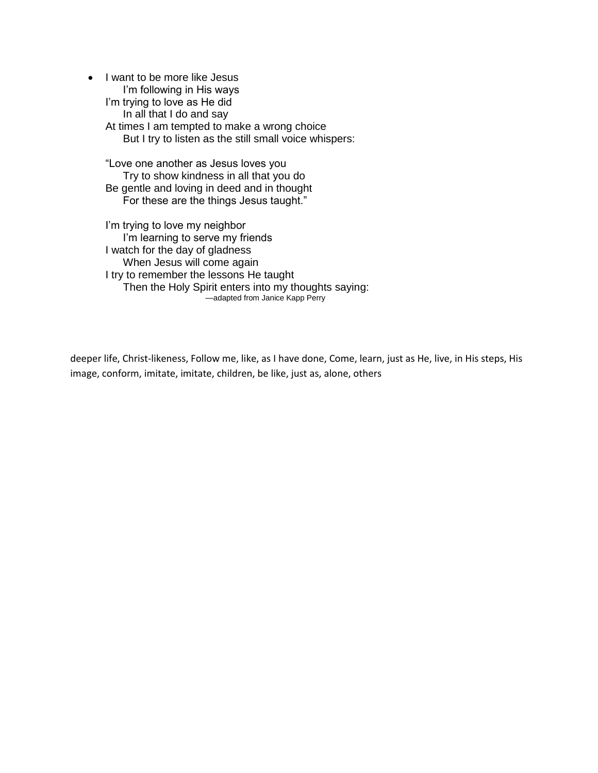• I want to be more like Jesus I'm following in His ways I'm trying to love as He did In all that I do and say At times I am tempted to make a wrong choice But I try to listen as the still small voice whispers:

"Love one another as Jesus loves you Try to show kindness in all that you do Be gentle and loving in deed and in thought For these are the things Jesus taught."

I'm trying to love my neighbor I'm learning to serve my friends I watch for the day of gladness When Jesus will come again I try to remember the lessons He taught Then the Holy Spirit enters into my thoughts saying:<br>-adapted from Janice Kapp Perry

deeper life, Christ-likeness, Follow me, like, as I have done, Come, learn, just as He, live, in His steps, His image, conform, imitate, imitate, children, be like, just as, alone, others